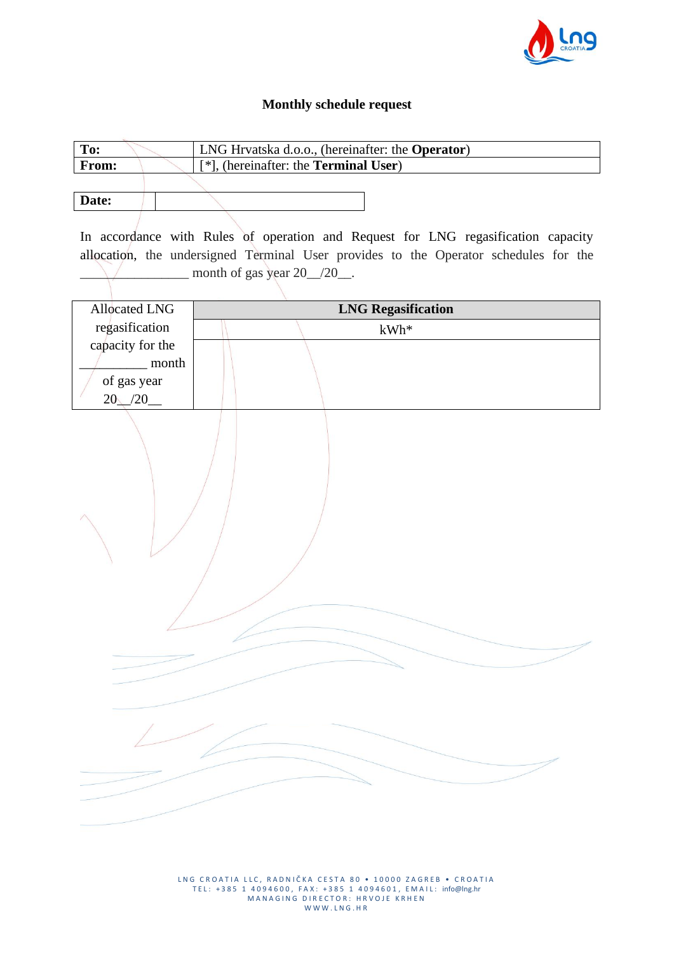

## **Monthly schedule request**

| To:                  | LNG Hrvatska d.o.o., (hereinafter: the Operator)                                     |  |
|----------------------|--------------------------------------------------------------------------------------|--|
| From:                | [*], (hereinafter: the Terminal User)                                                |  |
|                      |                                                                                      |  |
| Date:                |                                                                                      |  |
|                      |                                                                                      |  |
|                      | In accordance with Rules of operation and Request for LNG regasification capacity    |  |
|                      | allocation, the undersigned Terminal User provides to the Operator schedules for the |  |
|                      | month of gas year $20\_\n/20\_\n$ .                                                  |  |
|                      |                                                                                      |  |
| <b>Allocated LNG</b> | <b>LNG Regasification</b>                                                            |  |
| regasification       | $kWh*$                                                                               |  |
| capacity for the     |                                                                                      |  |
| month                |                                                                                      |  |
| of gas year          |                                                                                      |  |
| $20$ /20             |                                                                                      |  |
|                      |                                                                                      |  |
|                      |                                                                                      |  |
|                      |                                                                                      |  |
|                      |                                                                                      |  |
|                      |                                                                                      |  |
|                      |                                                                                      |  |
|                      |                                                                                      |  |
|                      |                                                                                      |  |
|                      |                                                                                      |  |
|                      |                                                                                      |  |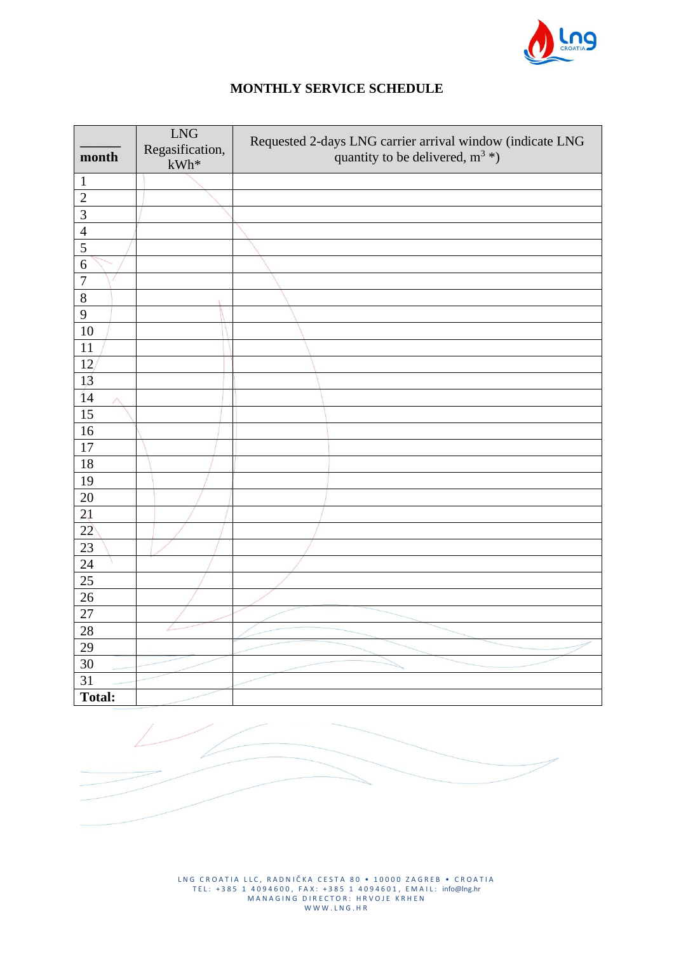

## **MONTHLY SERVICE SCHEDULE**

| month           | <b>LNG</b><br>Regasification,<br>$kWh^*$ | Requested 2-days LNG carrier arrival window (indicate LNG<br>quantity to be delivered, $m^3$ *) |
|-----------------|------------------------------------------|-------------------------------------------------------------------------------------------------|
| $\mathbf{1}$    |                                          |                                                                                                 |
| $\overline{2}$  |                                          |                                                                                                 |
| $\mathfrak{Z}$  |                                          |                                                                                                 |
| $\overline{4}$  |                                          |                                                                                                 |
| 5               |                                          |                                                                                                 |
| 6               |                                          |                                                                                                 |
| $\overline{7}$  |                                          |                                                                                                 |
| $8\,$           |                                          |                                                                                                 |
| 9               |                                          |                                                                                                 |
| 10              |                                          |                                                                                                 |
| 11              |                                          |                                                                                                 |
| 12              |                                          |                                                                                                 |
| 13              |                                          |                                                                                                 |
| 14<br>Л         |                                          |                                                                                                 |
| $\overline{15}$ |                                          |                                                                                                 |
| 16              |                                          |                                                                                                 |
| 17              |                                          |                                                                                                 |
| 18              |                                          |                                                                                                 |
| 19              |                                          |                                                                                                 |
| 20              |                                          |                                                                                                 |
| 21              |                                          |                                                                                                 |
| 22              |                                          |                                                                                                 |
| 23              |                                          |                                                                                                 |
| 24              |                                          |                                                                                                 |
| 25              |                                          |                                                                                                 |
| 26              |                                          |                                                                                                 |
| $\overline{27}$ |                                          |                                                                                                 |
| 28              |                                          |                                                                                                 |
| 29              |                                          |                                                                                                 |
| 30              |                                          |                                                                                                 |
| 31              |                                          |                                                                                                 |
| <b>Total:</b>   |                                          |                                                                                                 |



LNG CROATIA LLC, RADNIČKA CESTA 80 • 10000 ZAGREB • CROATIA T E L : + 3 8 5 1 4 0 9 4 6 0 0 , F A X : + 3 8 5 1 4 0 9 4 6 0 1 , E M A I L : info@lng.hr MANAGING DIRECTOR: HRVOJE KRHEN W W W . L N G . H R